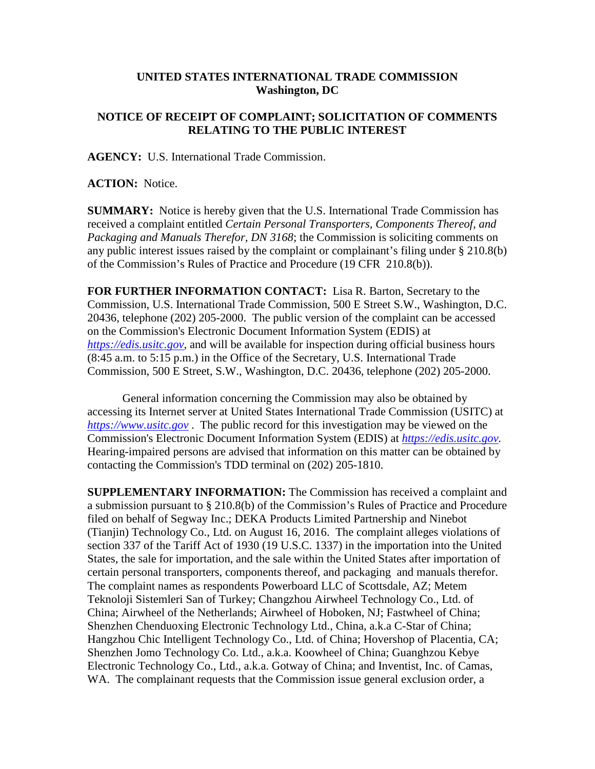## **UNITED STATES INTERNATIONAL TRADE COMMISSION Washington, DC**

## **NOTICE OF RECEIPT OF COMPLAINT; SOLICITATION OF COMMENTS RELATING TO THE PUBLIC INTEREST**

**AGENCY:** U.S. International Trade Commission.

**ACTION:** Notice.

**SUMMARY:** Notice is hereby given that the U.S. International Trade Commission has received a complaint entitled *Certain Personal Transporters, Components Thereof, and Packaging and Manuals Therefor, DN 3168*; the Commission is soliciting comments on any public interest issues raised by the complaint or complainant's filing under  $\S 210.8(b)$ of the Commission's Rules of Practice and Procedure (19 CFR 210.8(b)).

**FOR FURTHER INFORMATION CONTACT:** Lisa R. Barton, Secretary to the Commission, U.S. International Trade Commission, 500 E Street S.W., Washington, D.C. 20436, telephone (202) 205-2000. The public version of the complaint can be accessed on the Commission's Electronic Document Information System (EDIS) at *[https://edis.usitc.gov](https://edis.usitc.gov/)*, and will be available for inspection during official business hours (8:45 a.m. to 5:15 p.m.) in the Office of the Secretary, U.S. International Trade Commission, 500 E Street, S.W., Washington, D.C. 20436, telephone (202) 205-2000.

General information concerning the Commission may also be obtained by accessing its Internet server at United States International Trade Commission (USITC) at *[https://www.usitc.gov](https://www.usitc.gov/)* . The public record for this investigation may be viewed on the Commission's Electronic Document Information System (EDIS) at *[https://edis.usitc.gov.](https://edis.usitc.gov/)* Hearing-impaired persons are advised that information on this matter can be obtained by contacting the Commission's TDD terminal on (202) 205-1810.

**SUPPLEMENTARY INFORMATION:** The Commission has received a complaint and a submission pursuant to § 210.8(b) of the Commission's Rules of Practice and Procedure filed on behalf of Segway Inc.; DEKA Products Limited Partnership and Ninebot (Tianjin) Technology Co., Ltd. on August 16, 2016. The complaint alleges violations of section 337 of the Tariff Act of 1930 (19 U.S.C. 1337) in the importation into the United States, the sale for importation, and the sale within the United States after importation of certain personal transporters, components thereof, and packaging and manuals therefor. The complaint names as respondents Powerboard LLC of Scottsdale, AZ; Metem Teknoloji Sistemleri San of Turkey; Changzhou Airwheel Technology Co., Ltd. of China; Airwheel of the Netherlands; Airwheel of Hoboken, NJ; Fastwheel of China; Shenzhen Chenduoxing Electronic Technology Ltd., China, a.k.a C-Star of China; Hangzhou Chic Intelligent Technology Co., Ltd. of China; Hovershop of Placentia, CA; Shenzhen Jomo Technology Co. Ltd., a.k.a. Koowheel of China; Guanghzou Kebye Electronic Technology Co., Ltd., a.k.a. Gotway of China; and Inventist, Inc. of Camas, WA. The complainant requests that the Commission issue general exclusion order, a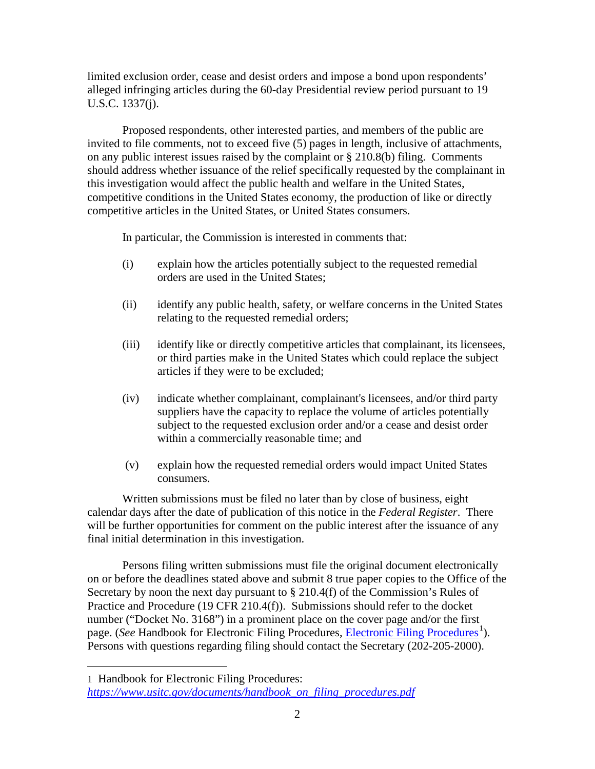limited exclusion order, cease and desist orders and impose a bond upon respondents' alleged infringing articles during the 60-day Presidential review period pursuant to 19 U.S.C. 1337(j).

Proposed respondents, other interested parties, and members of the public are invited to file comments, not to exceed five (5) pages in length, inclusive of attachments, on any public interest issues raised by the complaint or § 210.8(b) filing. Comments should address whether issuance of the relief specifically requested by the complainant in this investigation would affect the public health and welfare in the United States, competitive conditions in the United States economy, the production of like or directly competitive articles in the United States, or United States consumers.

In particular, the Commission is interested in comments that:

- (i) explain how the articles potentially subject to the requested remedial orders are used in the United States;
- (ii) identify any public health, safety, or welfare concerns in the United States relating to the requested remedial orders;
- (iii) identify like or directly competitive articles that complainant, its licensees, or third parties make in the United States which could replace the subject articles if they were to be excluded;
- (iv) indicate whether complainant, complainant's licensees, and/or third party suppliers have the capacity to replace the volume of articles potentially subject to the requested exclusion order and/or a cease and desist order within a commercially reasonable time; and
- (v) explain how the requested remedial orders would impact United States consumers.

Written submissions must be filed no later than by close of business, eight calendar days after the date of publication of this notice in the *Federal Register*. There will be further opportunities for comment on the public interest after the issuance of any final initial determination in this investigation.

Persons filing written submissions must file the original document electronically on or before the deadlines stated above and submit 8 true paper copies to the Office of the Secretary by noon the next day pursuant to  $\S 210.4(f)$  of the Commission's Rules of Practice and Procedure (19 CFR 210.4(f)). Submissions should refer to the docket number ("Docket No. 3168") in a prominent place on the cover page and/or the first page. (*See* Handbook for [Electronic Filing Procedures](http://www.usitc.gov/secretary/fed_reg_notices/rules/handbook_on_electronic_filing.pdf), *Electronic Filing Procedures*<sup>[1](#page-1-0)</sup>). Persons with questions regarding filing should contact the Secretary (202-205-2000).

 $\overline{a}$ 

<span id="page-1-0"></span><sup>1</sup> Handbook for Electronic Filing Procedures: *[https://www.usitc.gov/documents/handbook\\_on\\_filing\\_procedures.pdf](https://www.usitc.gov/documents/handbook_on_filing_procedures.pdf)*